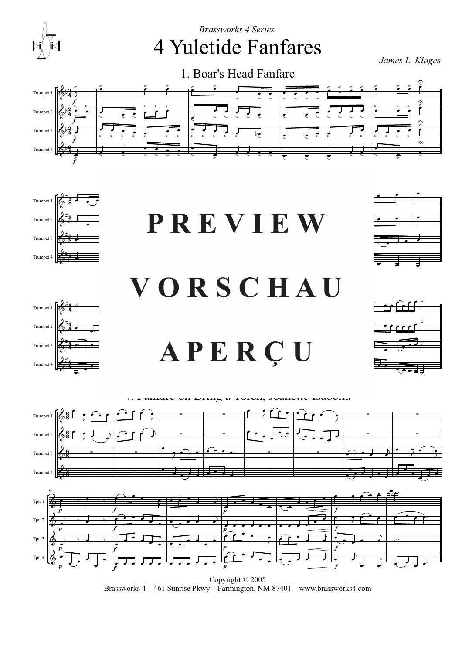

Copyright © 2005 Brassworks 4 461 Sunrise Pkwy Farmington, NM 87401 www.brassworks4.com